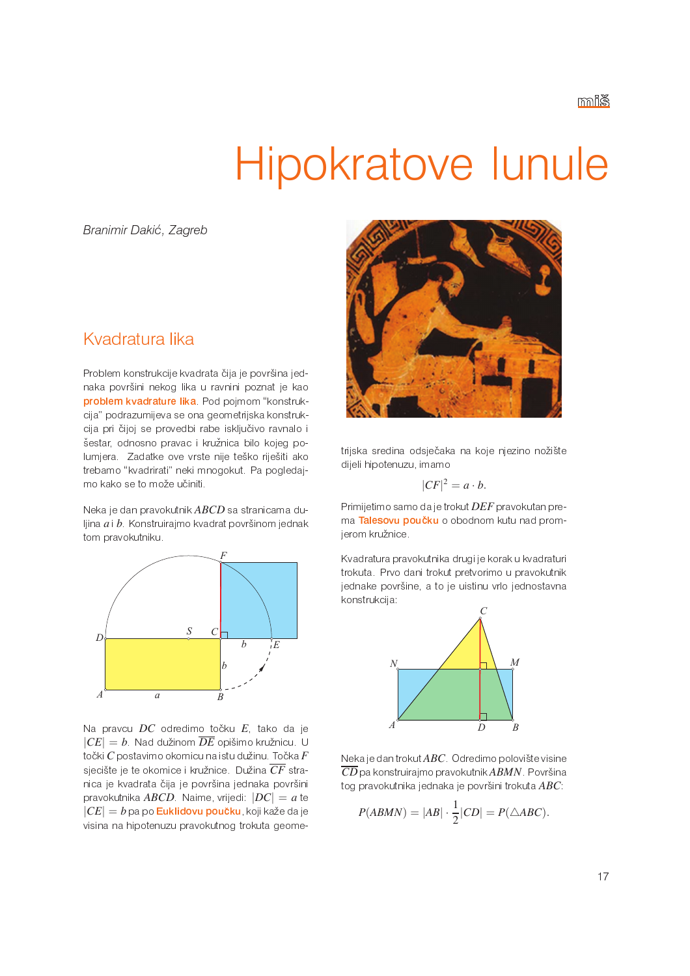# Hipokratove lunule

Branimir Dakić, Zagreb

# Kvadratura lika

Problem konstrukcije kvadrata čija je površina jednaka površini nekog lika u ravnini poznat je kao problem kvadrature lika Pod pojmom "konstrukcija" podrazumijeva se ona geometrijska konstrukcija pri čijoj se provedbi rabe isključivo ravnalo i šestar, odnosno pravac i kružnica bilo kojeg polumjera. Zadatke ove vrste nije teško riješiti ako trebamo "kvadrirati" neki mnogokut. Pa pogledajmo kako se to može učiniti.

Neka je dan pravokutnik ABCD sa stranicama duljina  $a$  i  $b$ . Konstruirajmo kvadrat površinom jednak tom pravokutniku.



Na pravcu  $DC$  odredimo točku  $E$ , tako da je  $|CE| = b$ . Nad dužinom  $\overline{DE}$  opišimo kružnicu. U točki  $C$  postavimo okomicu na istu dužinu. Točka  $F$ sjecište je te okomice i kružnice. Dužina  $\overline{CF}$  stranica je kvadrata čija je površina jednaka površini pravokutnika ABCD. Naime, vrijedi:  $|DC| = a$  te  $|CE| = b$  pa po **Euklidovu poučku**, koji kaže da je visina na hipotenuzu pravokutnog trokuta geome-



trijska sredina odsječaka na koje njezino nožište dijeli hipotenuzu, imamo

$$
|CF|^2 = a \cdot b.
$$

Primijetimo samo da je trokut DEF pravokutan prema Talesovu poučku o obodnom kutu nad promjerom kružnice.

Kvadratura pravokutnika drugi je korak u kvadraturi trokuta. Prvo dani trokut pretvorimo u pravokutnik jednake površine, a to je uistinu vrlo jednostavna konstrukcija:



Neka je dan trokut  $ABC$ . Odredimo polovište visine  $\overline{CD}$  pa konstruirajmo pravokutnik $ABMN$  Površina tog pravokutnika jednaka je površini trokuta  $ABC$ .

$$
P(ABMN) = |AB| \cdot \frac{1}{2}|CD| = P(\triangle ABC).
$$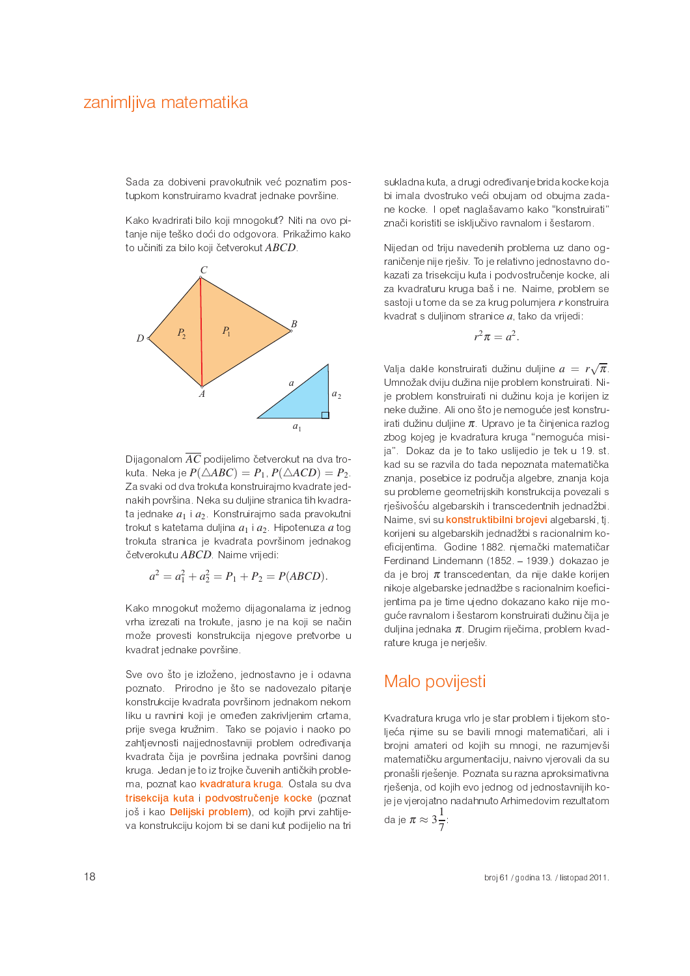Sada za dobiveni pravokutnik već poznatim postupkom konstruiramo kvadrat jednake površine.

Kako kvadrirati bilo koji mnogokut? Niti na ovo pitanje nije teško doći do odgovora. Prikažimo kako to učiniti za bilo koji četverokut ABCD.



Dijagonalom  $\overline{AC}$  podijelimo četverokut na dva trokuta. Neka je  $P(\triangle ABC) = P_1$ ,  $P(\triangle ACD) = P_2$ . Za svaki od dva trokuta konstruirajmo kvadrate jednakih površina. Neka su duljine stranica tih kvadrata jednake  $a_1$  i  $a_2$ . Konstruirajmo sada pravokutni trokut s katetama duljina  $a_1$  i  $a_2$ . Hipotenuza a tog trokuta stranica je kvadrata površinom jednakog četverokutu ABCD. Naime vrijedi:

$$
a^2 = a_1^2 + a_2^2 = P_1 + P_2 = P(ABCD).
$$

Kako mnogokut možemo dijagonalama iz jednog vrha izrezati na trokute, jasno je na koji se način može provesti konstrukcija njegove pretvorbe u kvadrat jednake površine.

Sve ovo što je izloženo, jednostavno je i odavna poznato. Prirodno je što se nadovezalo pitanje konstrukcije kvadrata površinom jednakom nekom liku u ravnini koji je omeđen zakrivljenim crtama, prije svega kružnim. Tako se pojavio i naoko po zahtjevnosti najjednostavniji problem određivanja kvadrata čija je površina jednaka površini danog kruga. Jedan je to iz trojke čuvenih antičkih problema, poznat kao kvadratura kruga. Ostala su dva trisekcija kuta i podvostručenje kocke (poznat još i kao Delijski problem), od kojih prvi zahtijeva konstrukciju kojom bi se dani kut podijelio na tri sukladna kuta, a drugi određivanje brida kocke koja bi imala dvostruko veći obujam od obujma zadane kocke. I opet naglašavamo kako "konstruirati" znači koristiti se isključivo ravnalom i šestarom.

Nijedan od triju navedenih problema uz dano ograničenje nije rješiv. To je relativno jednostavno dokazati za trisekciju kuta i podvostručenje kocke, ali za kvadraturu kruga baš i ne. Naime, problem se sastoji u tome da se za krug polumjera r konstruira kvadrat s duljinom stranice  $a$ , tako da vrijedi:

$$
r^2\pi = a^2.
$$

Valja dakle konstruirati dužinu duljine  $a = r\sqrt{\pi}$ . Umnožak dviju dužina nije problem konstruirati. Nije problem konstruirati ni dužinu koja je korijen iz neke dužine. Ali ono što je nemoguće jest konstruirati dužinu duljine  $\pi$ . Upravo je ta činjenica razlog zbog kojeg je kvadratura kruga "nemoguća misija". Dokaz da je to tako uslijedio je tek u 19. st. kad su se razvila do tada nepoznata matematička znanja, posebice iz područja algebre, znanja koja su probleme geometrijskih konstrukcija povezali s rješivošću algebarskih i transcedentnih jednadžbi. Naime, svi su konstruktibilni brojevi algebarski, tj. korijeni su algebarskih jednadžbi s racionalnim koeficijentima. Godine 1882. njemački matematičar Ferdinand Lindemann (1852. - 1939.) dokazao je da je broj  $\pi$  transcedentan, da nije dakle korijen nikoje algebarske jednadžbe s racionalnim koeficijentima pa je time ujedno dokazano kako nije moguće ravnalom i šestarom konstruirati dužinu čija je duljina jednaka  $\pi$ . Drugim riječima, problem kvadrature kruga je nerješiv.

# Malo povijesti

Kvadratura kruga vrlo je star problem i tijekom stoljeća njime su se bavili mnogi matematičari, ali i brojni amateri od kojih su mnogi, ne razumjevši matematičku argumentaciju, naivno vjerovali da su pronašli rješenje. Poznata su razna aproksimativna rješenja, od kojih evo jednog od jednostavnijih koje je vjerojatno nadahnuto Arhimedovim rezultatom da je  $\pi \approx 3\frac{1}{7}$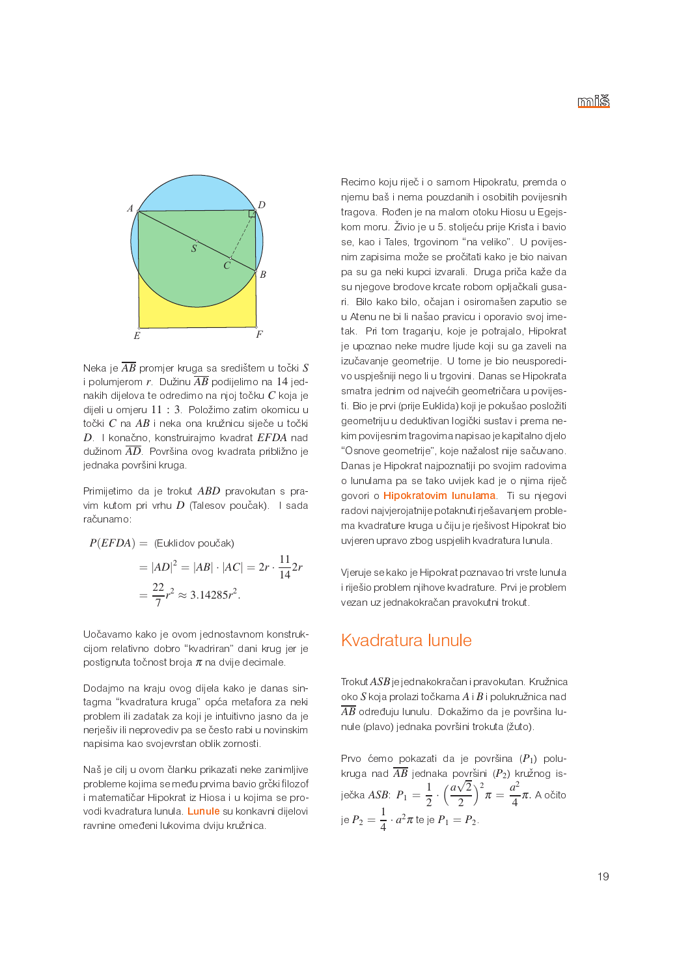

Neka je  $\overline{AB}$  promjer kruga sa središtem u točki  $S$ i polumjerom r. Dužinu  $\overline{AB}$  podijelimo na 14 jednakih dijelova te odredimo na njoj točku  $C$  koja je dijeli u omjeru 11 : 3. Položimo zatim okomicu u točki C na AB i neka ona kružnicu siječe u točki D. I konačno, konstruirajmo kvadrat EFDA nad dužinom  $\overline{AD}$ . Površina ovog kvadrata približno je jednaka površini kruga.

Primijetimo da je trokut ABD pravokutan s pravim kutom pri vrhu D (Talesov poučak). I sada računamo:

$$
P(EFDA) = (Euklidov poučak)
$$
  
=  $|AD|^2 = |AB| \cdot |AC| = 2r \cdot \frac{11}{14} 2r$   
=  $\frac{22}{7}r^2 \approx 3.14285r^2$ .

Uočavamo kako je ovom jednostavnom konstrukcijom relativno dobro "kvadriran" dani krug jer je postignuta točnost broja  $\pi$  na dvije decimale.

Dodajmo na kraju ovog dijela kako je danas sintagma "kvadratura kruga" opća metafora za neki problem ili zadatak za koji je intuitivno jasno da je nerješiv ili neprovediv pa se često rabi u novinskim napisima kao svojevrstan oblik zornosti.

Naš je cilj u ovom članku prikazati neke zanimljive probleme kojima se među prvima bavio grčki filozof i matematičar Hipokrat iz Hiosa i u kojima se provodi kvadratura lunula Lunule su konkavni dijelovi ravnine omeđeni lukovima dviju kružnica.

Recimo koju riječ i o samom Hipokratu, premda o njemu baš i nema pouzdanih i osobitih povijesnih tragova. Rođen je na malom otoku Hiosu u Egejskom moru. Živio je u 5. stoljeću prije Krista i bavio se, kao i Tales, trgovinom "na veliko". U povijesnim zapisima može se pročitati kako je bio naivan pa su ga neki kupci izvarali. Druga priča kaže da su njegove brodove krcate robom opljačkali gusari. Bilo kako bilo, očajan i osiromašen zaputio se u Atenu ne bi li našao pravicu i oporavio svoj imetak. Pri tom traganju, koje je potrajalo, Hipokrat je upoznao neke mudre ljude koji su ga zaveli na izučavanje geometrije. U tome je bio neusporedivo uspješniji nego li u trgovini. Danas se Hipokrata smatra jednim od najvećih geometričara u povijesti. Bio je prvi (prije Euklida) koji je pokušao posložiti geometriju u deduktivan logički sustav i prema nekim povijesnim tragovima napisao je kapitalno djelo "Osnove geometrije", koje nažalost nije sačuvano. Danas je Hipokrat najpoznatiji po svojim radovima o lunulama pa se tako uvijek kad je o njima riječ govori o Hipokratovim lunulama. Ti su njegovi radovi najvjerojatnije potaknuti rješavanjem problema kvadrature kruga u čiju je rješivost Hipokrat bio uvjeren upravo zbog uspjelih kvadratura lunula.

Vieruje se kako je Hipokrat poznavao tri vrste lunula i riješio problem njihove kvadrature. Prvi je problem vezan uz jednakokračan pravokutni trokut.

### Kvadratura lunule

Trokut ASB je jednakokračan i pravokutan. Kružnica oko  $S$  koja prolazi točkama  $A$  i  $B$  i polukružnica nad  $\overline{AB}$  određuju lunulu. Dokažimo da je površina lunule (plavo) jednaka površini trokuta (žuto).

Prvo ćemo pokazati da je površina  $(P_1)$  polukruga nad  $\overline{AB}$  jednaka površini ( $P_2$ ) kružnog isječka ASB:  $P_1 = \frac{1}{2} \cdot \left(\frac{a\sqrt{2}}{2}\right)^2 \pi = \frac{a^2}{4} \pi$ . A očito je  $P_2 = \frac{1}{4} \cdot a^2 \pi$  te je  $P_1 = P_2$ .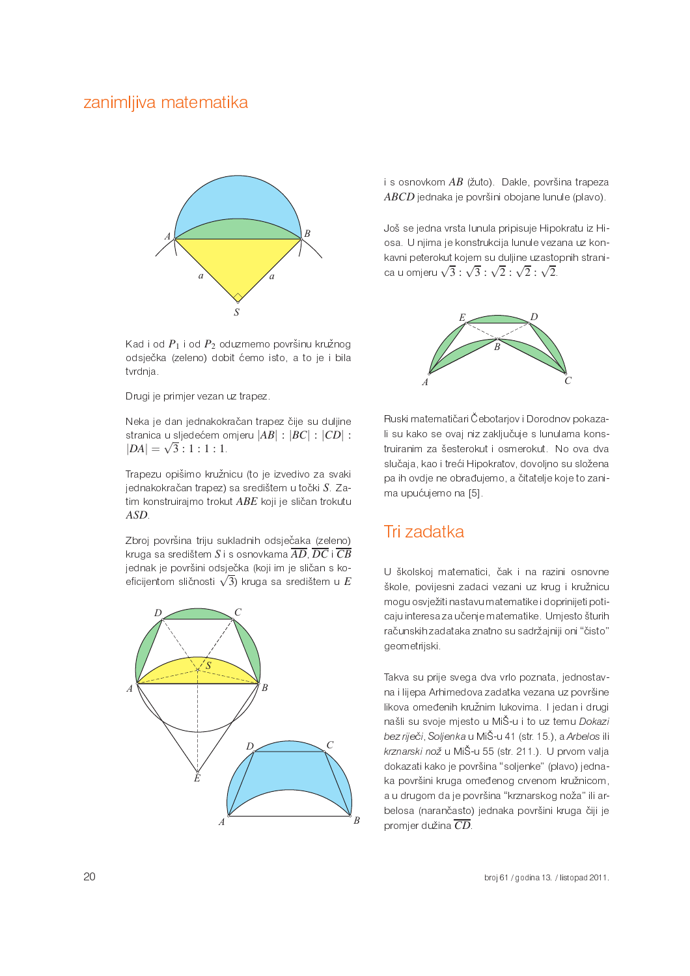

Kad i od  $P_1$  i od  $P_2$  oduzmemo površinu kružnog odsječka (zeleno) dobit ćemo isto, a to je i bila tvrdnja.

Drugi je primjer vezan uz trapez

Neka je dan jednakokračan trapez čije su duljine stranica u sljedećem omjeru  $|AB|$ :  $|BC|$ :  $|CD|$ :  $|DA| = \sqrt{3} : 1 : 1 : 1$ 

Trapezu opišimo kružnicu (to je izvedivo za svaki jednakokračan trapez) sa središtem u točki S. Zatim konstruirajmo trokut ABE koji je sličan trokutu  $ASD$ 

Zbroj površina triju sukladnih odsječaka (zeleno) kruga sa središtem S i s osnovkama  $\overline{AD}$ ,  $\overline{DC}$  i  $\overline{CB}$ jednak je površini odsječka (koji im je sličan s koeficijentom sličnosti  $\sqrt{3}$ ) kruga sa središtem u  $E$ 



i s osnovkom AB (žuto). Dakle, površina trapeza ABCD jednaka je površini obojane lunule (plavo).

Još se jedna vrsta lunula pripisuje Hipokratu iz Hiosa. U njima je konstrukcija lunule vezana uz konkavni peterokut kojem su duljine uzastopnih stranica u omjeru  $\sqrt{3}$  :  $\sqrt{3}$  :  $\sqrt{2}$  :  $\sqrt{2}$  :  $\sqrt{2}$ .



Ruski matematičari Čebotarjov i Dorodnov pokazali su kako se ovaj niz zaključuje s lunulama konstruiranim za šesterokut i osmerokut. No ova dva slučaja, kao i treći Hipokratov, dovoljno su složena pa ih ovdje ne obrađujemo, a čitatelje koje to zanima upućujemo na [5].

# Tri zadatka

U školskoj matematici, čak i na razini osnovne škole, povijesni zadaci vezani uz krug i kružnicu mogu osvježiti nastavu matematike i doprinijeti poticaju interesa za učenje matematike. Umjesto šturih računskih zadataka znatno su sadržajniji oni "čisto" geometrijski.

Takva su prije svega dva vrlo poznata, jednostavna i lijepa Arhimedova zadatka vezana uz površine likova omeđenih kružnim lukovima. I jedan i drugi našli su svoje mjesto u MiŠ-u i to uz temu Dokazi bez riječi, Soljenka u MiŠ-u 41 (str. 15.), a Arbelos ili krznarski nož u MiŠ-u 55 (str. 211.). U prvom valja dokazati kako je površina "soljenke" (plavo) jednaka površini kruga omeđenog crvenom kružnicom, a u drugom da je površina "krznarskog noža" ili arbelosa (narančasto) jednaka površini kruga čiji je promjer dužina  $\overline{CD}$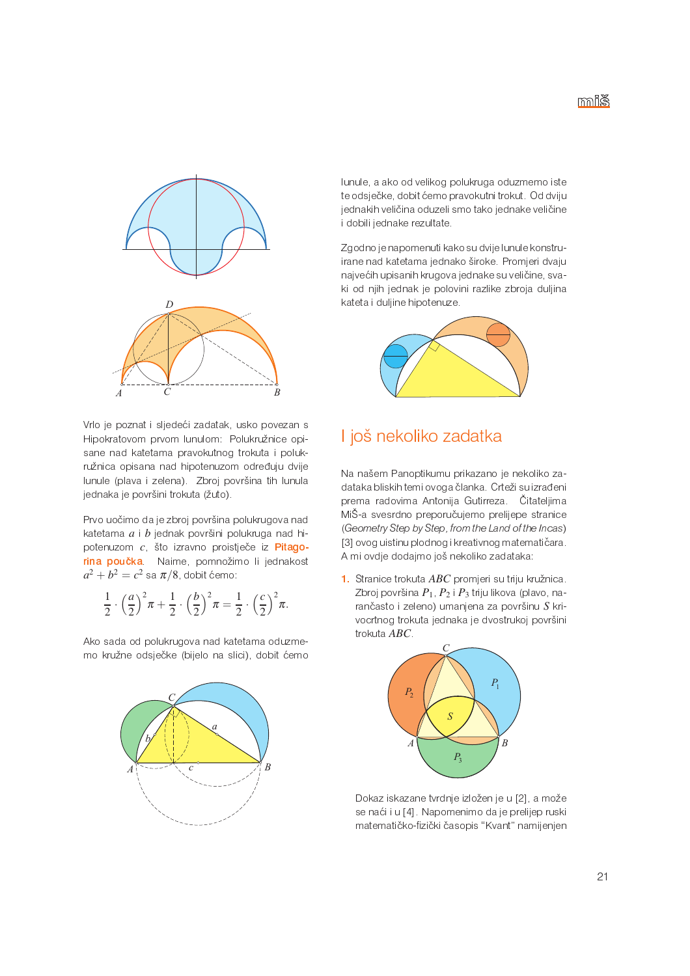

Vrlo je poznat i sljedeći zadatak, usko povezan s Hipokratovom prvom lunulom: Polukružnice opisane nad katetama pravokutnog trokuta i polukružnica opisana nad hipotenuzom određuju dvije lunule (plava i zelena). Zbroj površina tih lunula jednaka je površini trokuta (žuto).

Prvo uočimo da je zbroj površina polukrugova nad katetama  $a \mid b$  jednak površini polukruga nad hipotenuzom c. što izravno proistječe iz Pitagorina poučka. Naime, pomnožimo li jednakost  $a^2 + b^2 = c^2$  sa  $\pi/8$  dobit ćemo.

$$
\frac{1}{2} \cdot \left(\frac{a}{2}\right)^2 \pi + \frac{1}{2} \cdot \left(\frac{b}{2}\right)^2 \pi = \frac{1}{2} \cdot \left(\frac{c}{2}\right)^2 \pi.
$$

Ako sada od polukrugova nad katetama oduzmemo kružne odsječke (bijelo na slici), dobit ćemo



lunule, a ako od velikog polukruga oduzmemo iste te odsječke, dobit ćemo pravokutni trokut. Od dviju jednakih veličina oduzeli smo tako jednake veličine i dobili jednake rezultate.

Zgodno je napomenuti kako su dvije lunule konstruirane nad katetama jednako široke. Promjeri dvaju najvećih upisanih krugova jednake su veličine, svaki od njih jednak je polovini razlike zbroja duljina kateta i duljine hipotenuze.



## I još nekoliko zadatka

Na našem Panoptikumu prikazano je nekoliko zadataka bliskih temi ovoga članka. Crteži su izrađeni prema radovima Antonija Gutirreza. Čitateljima MiŠ-a svesrdno preporučujemo prelijepe stranice (Geometry Step by Step, from the Land of the Incas) [3] ovog uistinu plodnog i kreativnog matematičara. A mi ovdje dodajmo još nekoliko zadataka:

1. Stranice trokuta ABC promjeri su triju kružnica. Zbroj površina P1, P2 i P3 triju likova (plavo, narančasto i zeleno) umanjena za površinu S krivocrtnog trokuta jednaka je dvostrukoj površini trokuta ABC.



Dokaz iskazane tvrdnje izložen je u [2], a može se naći i u [4]. Napomenimo da je prelijep ruski matematičko-fizički časopis "Kvant" namijenjen